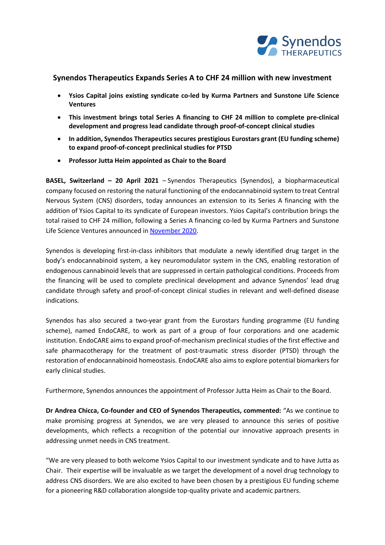

# **Synendos Therapeutics Expands Series A to CHF 24 million with new investment**

- **Ysios Capital joins existing syndicate co-led by Kurma Partners and Sunstone Life Science Ventures**
- **This investment brings total Series A financing to CHF 24 million to complete pre-clinical development and progress lead candidate through proof-of-concept clinical studies**
- **In addition, Synendos Therapeutics secures prestigious Eurostars grant (EU funding scheme) to expand proof-of-concept preclinical studies for PTSD**
- **Professor Jutta Heim appointed as Chair to the Board**

**BASEL, Switzerland – 20 April 2021** – Synendos Therapeutics (Synendos), a biopharmaceutical company focused on restoring the natural functioning of the endocannabinoid system to treat Central Nervous System (CNS) disorders, today announces an extension to its Series A financing with the addition of Ysios Capital to its syndicate of European investors. Ysios Capital's contribution brings the total raised to CHF 24 million, following a Series A financing co-led by Kurma Partners and Sunstone Life Science Ventures announced in [November 2020.](https://www.synendos.com/post/november-2020----investment)

Synendos is developing first-in-class inhibitors that modulate a newly identified drug target in the body's endocannabinoid system, a key neuromodulator system in the CNS, enabling restoration of endogenous cannabinoid levels that are suppressed in certain pathological conditions. Proceeds from the financing will be used to complete preclinical development and advance Synendos' lead drug candidate through safety and proof-of-concept clinical studies in relevant and well-defined disease indications.

Synendos has also secured a two-year grant from the Eurostars funding programme (EU funding scheme), named EndoCARE, to work as part of a group of four corporations and one academic institution. EndoCARE aims to expand proof-of-mechanism preclinical studies of the first effective and safe pharmacotherapy for the treatment of post-traumatic stress disorder (PTSD) through the restoration of endocannabinoid homeostasis. EndoCARE also aims to explore potential biomarkers for early clinical studies.

Furthermore, Synendos announces the appointment of Professor Jutta Heim as Chair to the Board.

**Dr Andrea Chicca, Co-founder and CEO of Synendos Therapeutics, commented:** "As we continue to make promising progress at Synendos, we are very pleased to announce this series of positive developments, which reflects a recognition of the potential our innovative approach presents in addressing unmet needs in CNS treatment.

"We are very pleased to both welcome Ysios Capital to our investment syndicate and to have Jutta as Chair. Their expertise will be invaluable as we target the development of a novel drug technology to address CNS disorders. We are also excited to have been chosen by a prestigious EU funding scheme for a pioneering R&D collaboration alongside top-quality private and academic partners.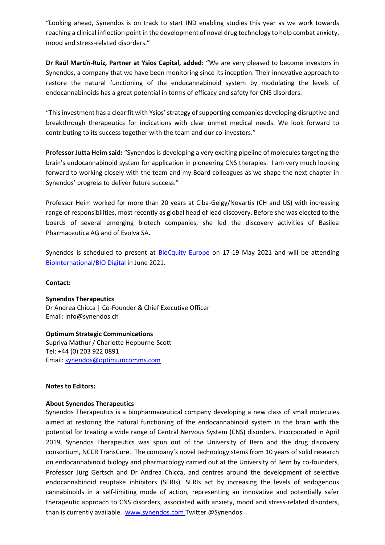"Looking ahead, Synendos is on track to start IND enabling studies this year as we work towards reaching a clinical inflection point in the development of novel drug technology to help combat anxiety, mood and stress-related disorders."

**Dr Raúl Martín-Ruiz, Partner at Ysios Capital, added:** "We are very pleased to become investors in Synendos, a company that we have been monitoring since its inception. Their innovative approach to restore the natural functioning of the endocannabinoid system by modulating the levels of endocannabinoids has a great potential in terms of efficacy and safety for CNS disorders.

"This investment has a clear fit with Ysios' strategy of supporting companies developing disruptive and breakthrough therapeutics for indications with clear unmet medical needs. We look forward to contributing to its success together with the team and our co-investors."

**Professor Jutta Heim said:** "Synendos is developing a very exciting pipeline of molecules targeting the brain's endocannabinoid system for application in pioneering CNS therapies. I am very much looking forward to working closely with the team and my Board colleagues as we shape the next chapter in Synendos' progress to deliver future success."

Professor Heim worked for more than 20 years at Ciba-Geigy/Novartis (CH and US) with increasing range of responsibilities, most recently as global head of lead discovery. Before she was elected to the boards of several emerging biotech companies, she led the discovery activities of Basilea Pharmaceutica AG and of Evolva SA.

Synendos is scheduled to present at **Bio€quity [Europe](https://conferences.biocentury.com/bioequity-europe)** on 17-19 May 2021 and will be attending [BioInternational/BIO Digital](https://www.bio.org/events/bio-digital) in June 2021.

### **Contact:**

### **Synendos Therapeutics**

Dr Andrea Chicca | Co-Founder & Chief Executive Officer Email: [info@synendos.ch](mailto:info@synendos.ch)

### **Optimum Strategic Communications**

Supriya Mathur / Charlotte Hepburne-Scott Tel: +44 (0) 203 922 0891 Email: [synendos@optimumcomms.com](mailto:synendos@optimumcomms.com)

### **Notes to Editors:**

### **About Synendos Therapeutics**

Synendos Therapeutics is a biopharmaceutical company developing a new class of small molecules aimed at restoring the natural functioning of the endocannabinoid system in the brain with the potential for treating a wide range of Central Nervous System (CNS) disorders. Incorporated in April 2019, Synendos Therapeutics was spun out of the University of Bern and the drug discovery consortium, NCCR TransCure. The company's novel technology stems from 10 years of solid research on endocannabinoid biology and pharmacology carried out at the University of Bern by co-founders, Professor Jürg Gertsch and Dr Andrea Chicca, and centres around the development of selective endocannabinoid reuptake inhibitors (SERIs). SERIs act by increasing the levels of endogenous cannabinoids in a self-limiting mode of action, representing an innovative and potentially safer therapeutic approach to CNS disorders, associated with anxiety, mood and stress-related disorders, than is currently available. [www.synendos.com](http://www.synendos.com/) Twitter @Synendos